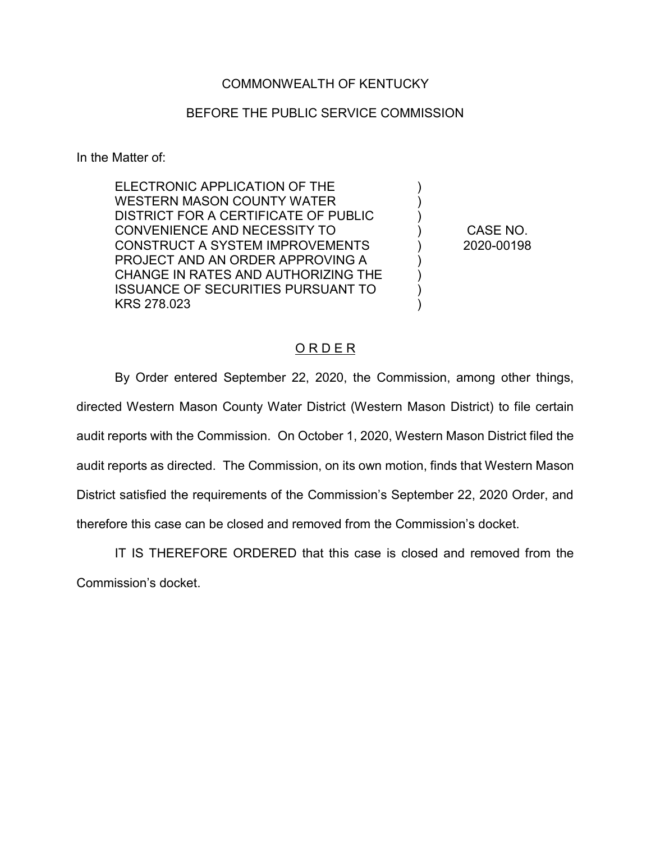## COMMONWEALTH OF KENTUCKY

## BEFORE THE PUBLIC SERVICE COMMISSION

In the Matter of:

ELECTRONIC APPLICATION OF THE WESTERN MASON COUNTY WATER DISTRICT FOR A CERTIFICATE OF PUBLIC CONVENIENCE AND NECESSITY TO CONSTRUCT A SYSTEM IMPROVEMENTS PROJECT AND AN ORDER APPROVING A CHANGE IN RATES AND AUTHORIZING THE ISSUANCE OF SECURITIES PURSUANT TO KRS 278.023

CASE NO. 2020-00198

) ) ) ) ) ) ) ) )

## ORDER

By Order entered September 22, 2020, the Commission, among other things, directed Western Mason County Water District (Western Mason District) to file certain audit reports with the Commission. On October 1, 2020, Western Mason District filed the audit reports as directed. The Commission, on its own motion, finds that Western Mason District satisfied the requirements of the Commission's September 22, 2020 Order, and therefore this case can be closed and removed from the Commission's docket.

IT IS THEREFORE ORDERED that this case is closed and removed from the Commission's docket.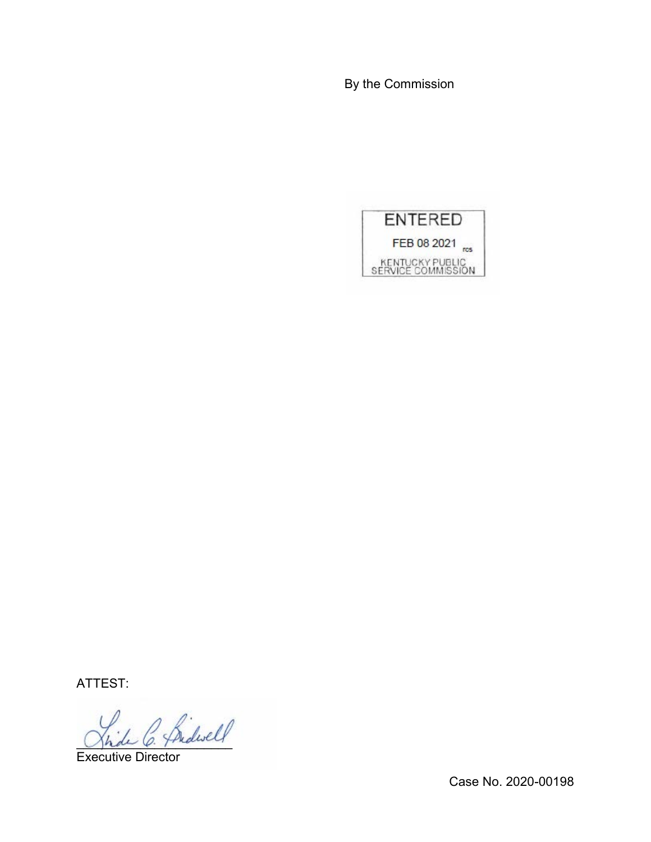By the Commission



ATTEST:

hide C. Pridwell

Executive Director

Case No. 2020-00198